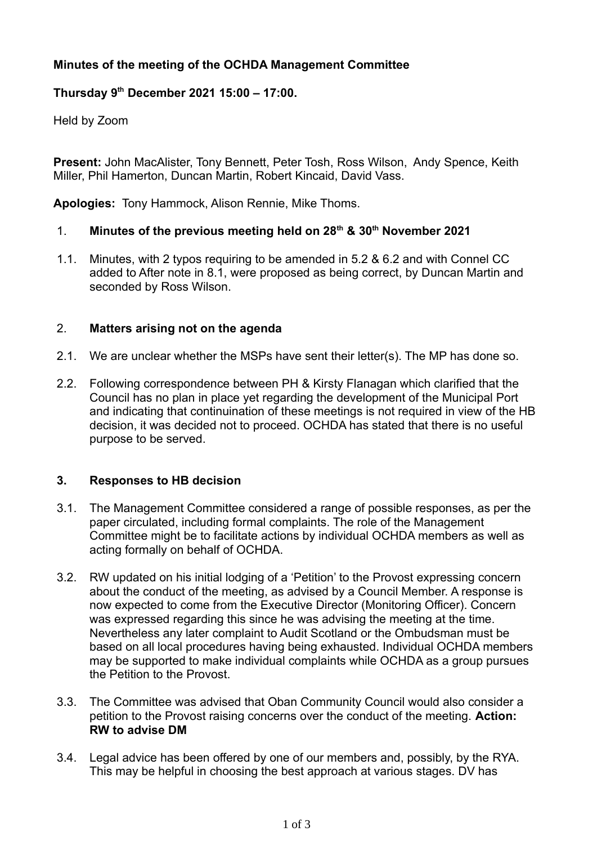# **Minutes of the meeting of the OCHDA Management Committee**

## **Thursday 9th December 2021 15:00 – 17:00.**

Held by Zoom

**Present:** John MacAlister, Tony Bennett, Peter Tosh, Ross Wilson, Andy Spence, Keith Miller, Phil Hamerton, Duncan Martin, Robert Kincaid, David Vass.

**Apologies:** Tony Hammock, Alison Rennie, Mike Thoms.

## 1. **Minutes of the previous meeting held on 28th & 30th November 2021**

 1.1. Minutes, with 2 typos requiring to be amended in 5.2 & 6.2 and with Connel CC added to After note in 8.1, were proposed as being correct, by Duncan Martin and seconded by Ross Wilson.

## 2. **Matters arising not on the agenda**

- 2.1. We are unclear whether the MSPs have sent their letter(s). The MP has done so.
- 2.2. Following correspondence between PH & Kirsty Flanagan which clarified that the Council has no plan in place yet regarding the development of the Municipal Port and indicating that continuination of these meetings is not required in view of the HB decision, it was decided not to proceed. OCHDA has stated that there is no useful purpose to be served.

#### **3. Responses to HB decision**

- 3.1. The Management Committee considered a range of possible responses, as per the paper circulated, including formal complaints. The role of the Management Committee might be to facilitate actions by individual OCHDA members as well as acting formally on behalf of OCHDA.
- 3.2. RW updated on his initial lodging of a 'Petition' to the Provost expressing concern about the conduct of the meeting, as advised by a Council Member. A response is now expected to come from the Executive Director (Monitoring Officer). Concern was expressed regarding this since he was advising the meeting at the time. Nevertheless any later complaint to Audit Scotland or the Ombudsman must be based on all local procedures having being exhausted. Individual OCHDA members may be supported to make individual complaints while OCHDA as a group pursues the Petition to the Provost.
- 3.3. The Committee was advised that Oban Community Council would also consider a petition to the Provost raising concerns over the conduct of the meeting. **Action: RW to advise DM**
- 3.4. Legal advice has been offered by one of our members and, possibly, by the RYA. This may be helpful in choosing the best approach at various stages. DV has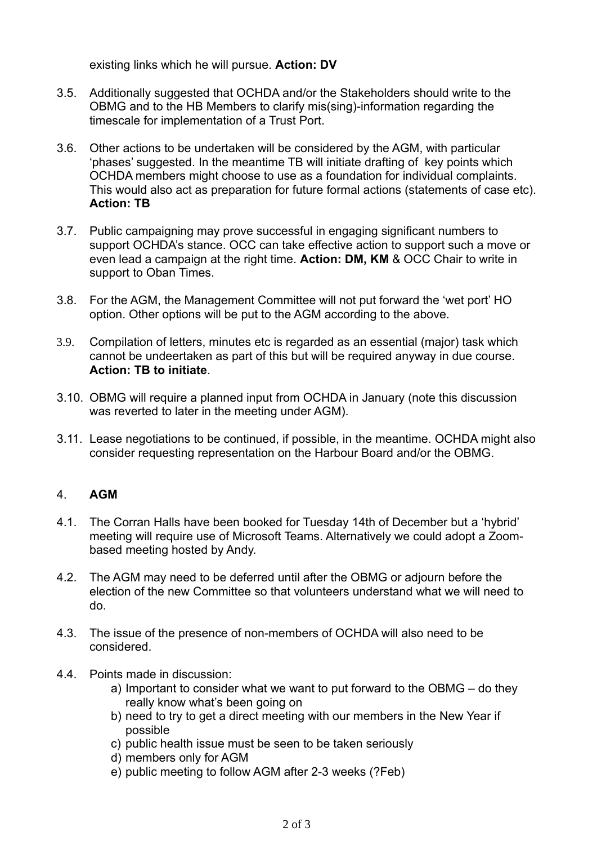existing links which he will pursue. **Action: DV**

- 3.5. Additionally suggested that OCHDA and/or the Stakeholders should write to the OBMG and to the HB Members to clarify mis(sing)-information regarding the timescale for implementation of a Trust Port.
- 3.6. Other actions to be undertaken will be considered by the AGM, with particular 'phases' suggested. In the meantime TB will initiate drafting of key points which OCHDA members might choose to use as a foundation for individual complaints. This would also act as preparation for future formal actions (statements of case etc). **Action: TB**
- 3.7. Public campaigning may prove successful in engaging significant numbers to support OCHDA's stance. OCC can take effective action to support such a move or even lead a campaign at the right time. **Action: DM, KM** & OCC Chair to write in support to Oban Times.
- 3.8. For the AGM, the Management Committee will not put forward the 'wet port' HO option. Other options will be put to the AGM according to the above.
- 3.9. Compilation of letters, minutes etc is regarded as an essential (major) task which cannot be undeertaken as part of this but will be required anyway in due course. **Action: TB to initiate**.
- 3.10. OBMG will require a planned input from OCHDA in January (note this discussion was reverted to later in the meeting under AGM).
- 3.11. Lease negotiations to be continued, if possible, in the meantime. OCHDA might also consider requesting representation on the Harbour Board and/or the OBMG.

#### 4. **AGM**

- 4.1. The Corran Halls have been booked for Tuesday 14th of December but a 'hybrid' meeting will require use of Microsoft Teams. Alternatively we could adopt a Zoombased meeting hosted by Andy.
- 4.2. The AGM may need to be deferred until after the OBMG or adjourn before the election of the new Committee so that volunteers understand what we will need to do.
- 4.3. The issue of the presence of non-members of OCHDA will also need to be considered.
- 4.4. Points made in discussion:
	- a) Important to consider what we want to put forward to the OBMG do they really know what's been going on
	- b) need to try to get a direct meeting with our members in the New Year if possible
	- c) public health issue must be seen to be taken seriously
	- d) members only for AGM
	- e) public meeting to follow AGM after 2-3 weeks (?Feb)